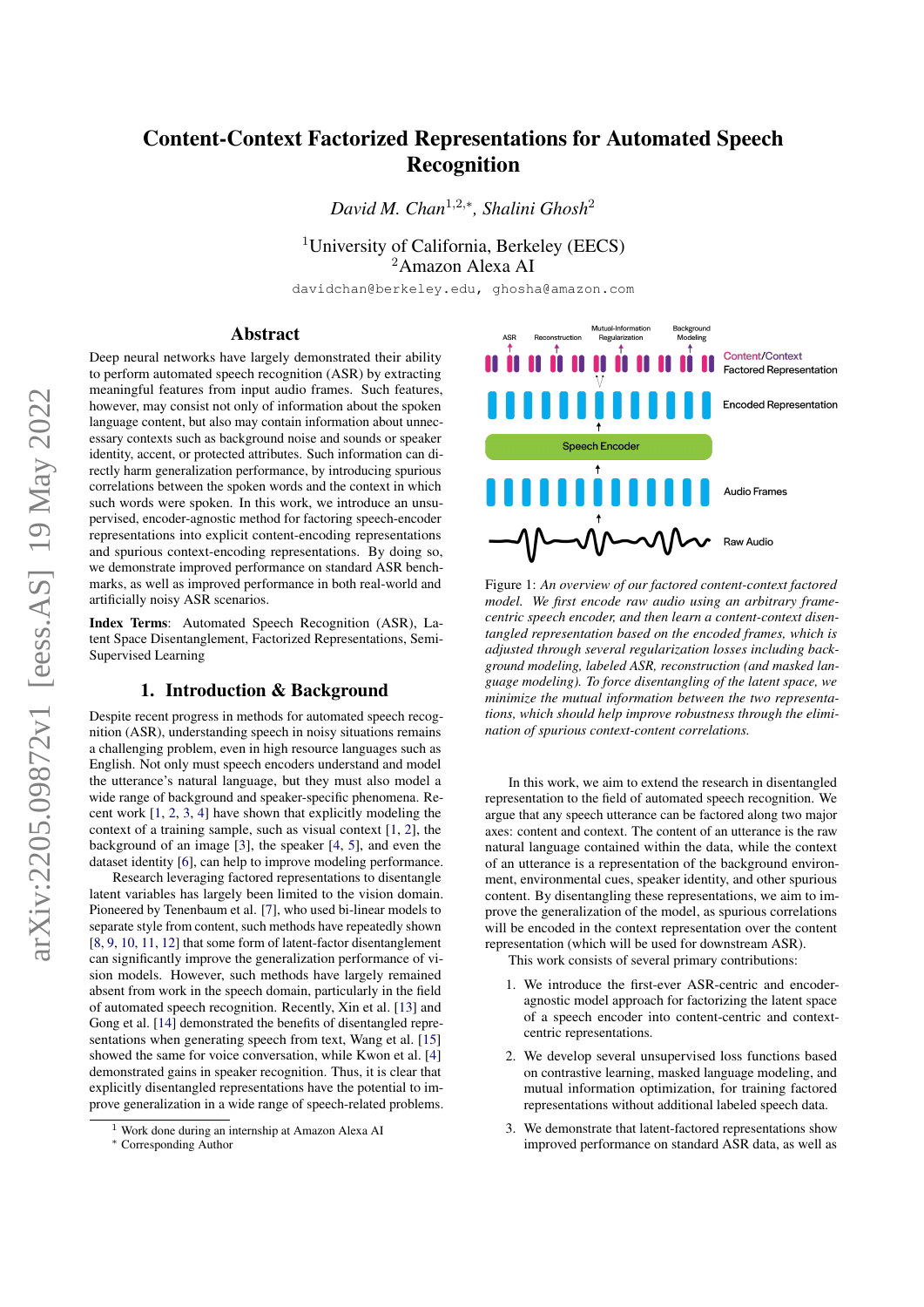# Content-Context Factorized Representations for Automated Speech Recognition

*David M. Chan*<sup>1</sup>,2,<sup>∗</sup> *, Shalini Ghosh*<sup>2</sup>

<sup>1</sup>University of California, Berkeley (EECS) <sup>2</sup>Amazon Alexa AI

davidchan@berkeley.edu, ghosha@amazon.com

#### Abstract

Deep neural networks have largely demonstrated their ability to perform automated speech recognition (ASR) by extracting meaningful features from input audio frames. Such features, however, may consist not only of information about the spoken language content, but also may contain information about unnecessary contexts such as background noise and sounds or speaker identity, accent, or protected attributes. Such information can directly harm generalization performance, by introducing spurious correlations between the spoken words and the context in which such words were spoken. In this work, we introduce an unsupervised, encoder-agnostic method for factoring speech-encoder representations into explicit content-encoding representations and spurious context-encoding representations. By doing so, we demonstrate improved performance on standard ASR benchmarks, as well as improved performance in both real-world and artificially noisy ASR scenarios.

Index Terms: Automated Speech Recognition (ASR), Latent Space Disentanglement, Factorized Representations, Semi-Supervised Learning

# 1. Introduction & Background

Despite recent progress in methods for automated speech recognition (ASR), understanding speech in noisy situations remains a challenging problem, even in high resource languages such as English. Not only must speech encoders understand and model the utterance's natural language, but they must also model a wide range of background and speaker-specific phenomena. Recent work [\[1,](#page-5-0) [2,](#page-5-1) [3,](#page-5-2) [4\]](#page-5-3) have shown that explicitly modeling the context of a training sample, such as visual context [\[1,](#page-5-0) [2\]](#page-5-1), the background of an image [\[3\]](#page-5-2), the speaker [\[4,](#page-5-3) [5\]](#page-5-4), and even the dataset identity [\[6\]](#page-5-5), can help to improve modeling performance.

Research leveraging factored representations to disentangle latent variables has largely been limited to the vision domain. Pioneered by Tenenbaum et al. [\[7\]](#page-5-6), who used bi-linear models to separate style from content, such methods have repeatedly shown [\[8,](#page-5-7) [9,](#page-5-8) [10,](#page-5-9) [11,](#page-5-10) [12\]](#page-5-11) that some form of latent-factor disentanglement can significantly improve the generalization performance of vision models. However, such methods have largely remained absent from work in the speech domain, particularly in the field of automated speech recognition. Recently, Xin et al. [\[13\]](#page-5-12) and Gong et al. [\[14\]](#page-5-13) demonstrated the benefits of disentangled repre-sentations when generating speech from text, Wang et al. [\[15\]](#page-5-14) showed the same for voice conversation, while Kwon et al. [\[4\]](#page-5-3) demonstrated gains in speaker recognition. Thus, it is clear that explicitly disentangled representations have the potential to improve generalization in a wide range of speech-related problems.



Figure 1: *An overview of our factored content-context factored model. We first encode raw audio using an arbitrary framecentric speech encoder, and then learn a content-context disentangled representation based on the encoded frames, which is adjusted through several regularization losses including background modeling, labeled ASR, reconstruction (and masked language modeling). To force disentangling of the latent space, we minimize the mutual information between the two representations, which should help improve robustness through the elimination of spurious context-content correlations.*

In this work, we aim to extend the research in disentangled representation to the field of automated speech recognition. We argue that any speech utterance can be factored along two major axes: content and context. The content of an utterance is the raw natural language contained within the data, while the context of an utterance is a representation of the background environment, environmental cues, speaker identity, and other spurious content. By disentangling these representations, we aim to improve the generalization of the model, as spurious correlations will be encoded in the context representation over the content representation (which will be used for downstream ASR).

This work consists of several primary contributions:

- 1. We introduce the first-ever ASR-centric and encoderagnostic model approach for factorizing the latent space of a speech encoder into content-centric and contextcentric representations.
- 2. We develop several unsupervised loss functions based on contrastive learning, masked language modeling, and mutual information optimization, for training factored representations without additional labeled speech data.
- 3. We demonstrate that latent-factored representations show improved performance on standard ASR data, as well as

<sup>1</sup> Work done during an internship at Amazon Alexa AI

<sup>∗</sup> Corresponding Author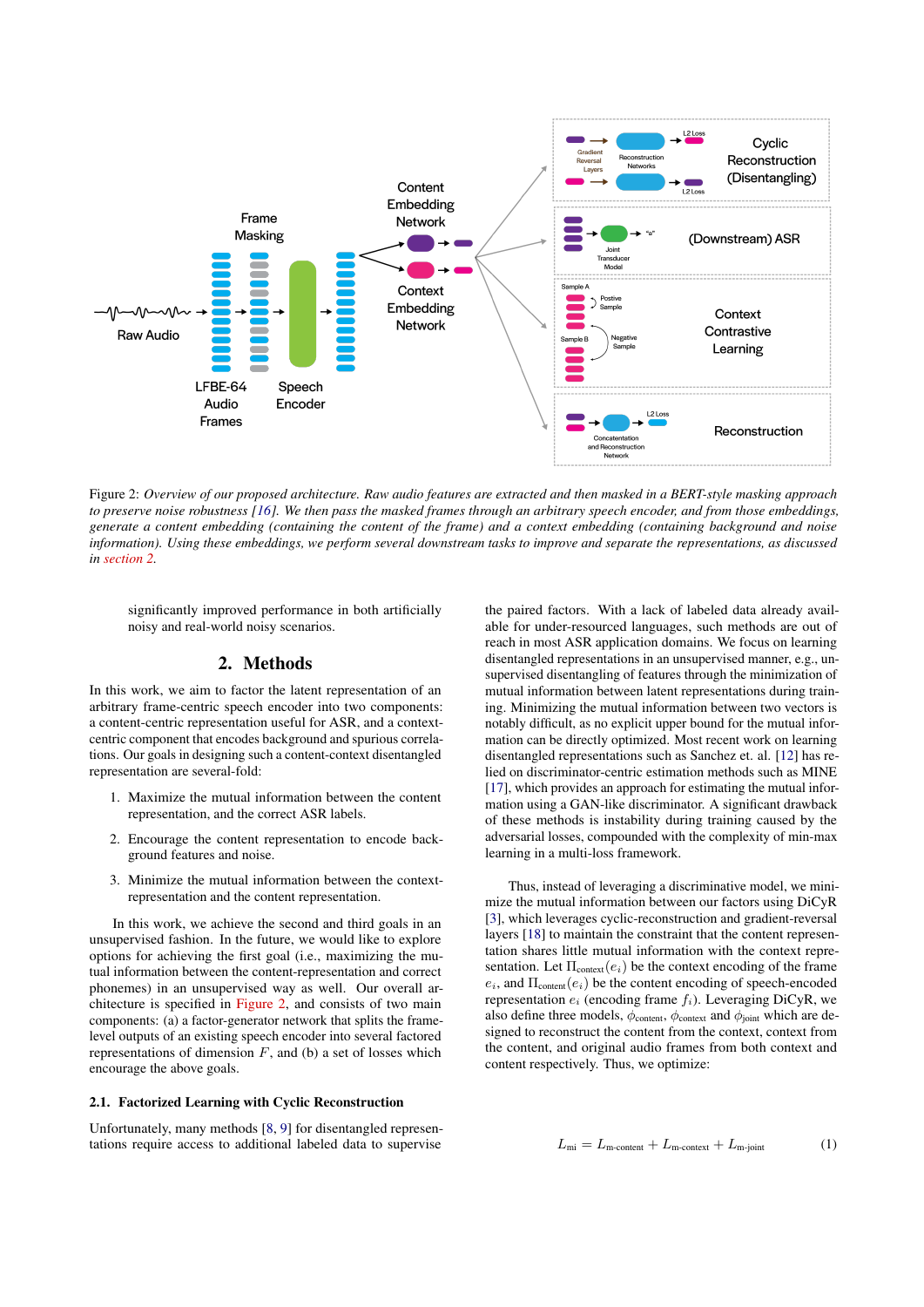<span id="page-1-1"></span>

Figure 2: *Overview of our proposed architecture. Raw audio features are extracted and then masked in a BERT-style masking approach to preserve noise robustness [\[16\]](#page-5-15). We then pass the masked frames through an arbitrary speech encoder, and from those embeddings, generate a content embedding (containing the content of the frame) and a context embedding (containing background and noise information). Using these embeddings, we perform several downstream tasks to improve and separate the representations, as discussed in [section 2.](#page-1-0)*

significantly improved performance in both artificially noisy and real-world noisy scenarios.

# 2. Methods

<span id="page-1-0"></span>In this work, we aim to factor the latent representation of an arbitrary frame-centric speech encoder into two components: a content-centric representation useful for ASR, and a contextcentric component that encodes background and spurious correlations. Our goals in designing such a content-context disentangled representation are several-fold:

- 1. Maximize the mutual information between the content representation, and the correct ASR labels.
- 2. Encourage the content representation to encode background features and noise.
- 3. Minimize the mutual information between the contextrepresentation and the content representation.

In this work, we achieve the second and third goals in an unsupervised fashion. In the future, we would like to explore options for achieving the first goal (i.e., maximizing the mutual information between the content-representation and correct phonemes) in an unsupervised way as well. Our overall architecture is specified in [Figure 2,](#page-1-1) and consists of two main components: (a) a factor-generator network that splits the framelevel outputs of an existing speech encoder into several factored representations of dimension  $F$ , and (b) a set of losses which encourage the above goals.

# <span id="page-1-2"></span>2.1. Factorized Learning with Cyclic Reconstruction

Unfortunately, many methods [\[8,](#page-5-7) [9\]](#page-5-8) for disentangled representations require access to additional labeled data to supervise

the paired factors. With a lack of labeled data already available for under-resourced languages, such methods are out of reach in most ASR application domains. We focus on learning disentangled representations in an unsupervised manner, e.g., unsupervised disentangling of features through the minimization of mutual information between latent representations during training. Minimizing the mutual information between two vectors is notably difficult, as no explicit upper bound for the mutual information can be directly optimized. Most recent work on learning disentangled representations such as Sanchez et. al. [\[12\]](#page-5-11) has relied on discriminator-centric estimation methods such as MINE [\[17\]](#page-5-16), which provides an approach for estimating the mutual information using a GAN-like discriminator. A significant drawback of these methods is instability during training caused by the adversarial losses, compounded with the complexity of min-max learning in a multi-loss framework.

Thus, instead of leveraging a discriminative model, we minimize the mutual information between our factors using DiCyR [\[3\]](#page-5-2), which leverages cyclic-reconstruction and gradient-reversal layers [\[18\]](#page-5-17) to maintain the constraint that the content representation shares little mutual information with the context representation. Let  $\Pi_{\text{context}}(e_i)$  be the context encoding of the frame  $e_i$ , and  $\Pi_{\text{content}}(e_i)$  be the content encoding of speech-encoded representation  $e_i$  (encoding frame  $f_i$ ). Leveraging DiCyR, we also define three models,  $\phi$ <sub>content</sub>,  $\phi$ <sub>context</sub> and  $\phi$ <sub>joint</sub> which are designed to reconstruct the content from the context, context from the content, and original audio frames from both context and content respectively. Thus, we optimize:

$$
L_{\rm mi} = L_{\rm m\text{-content}} + L_{\rm m\text{-context}} + L_{\rm m\text{-joint}} \tag{1}
$$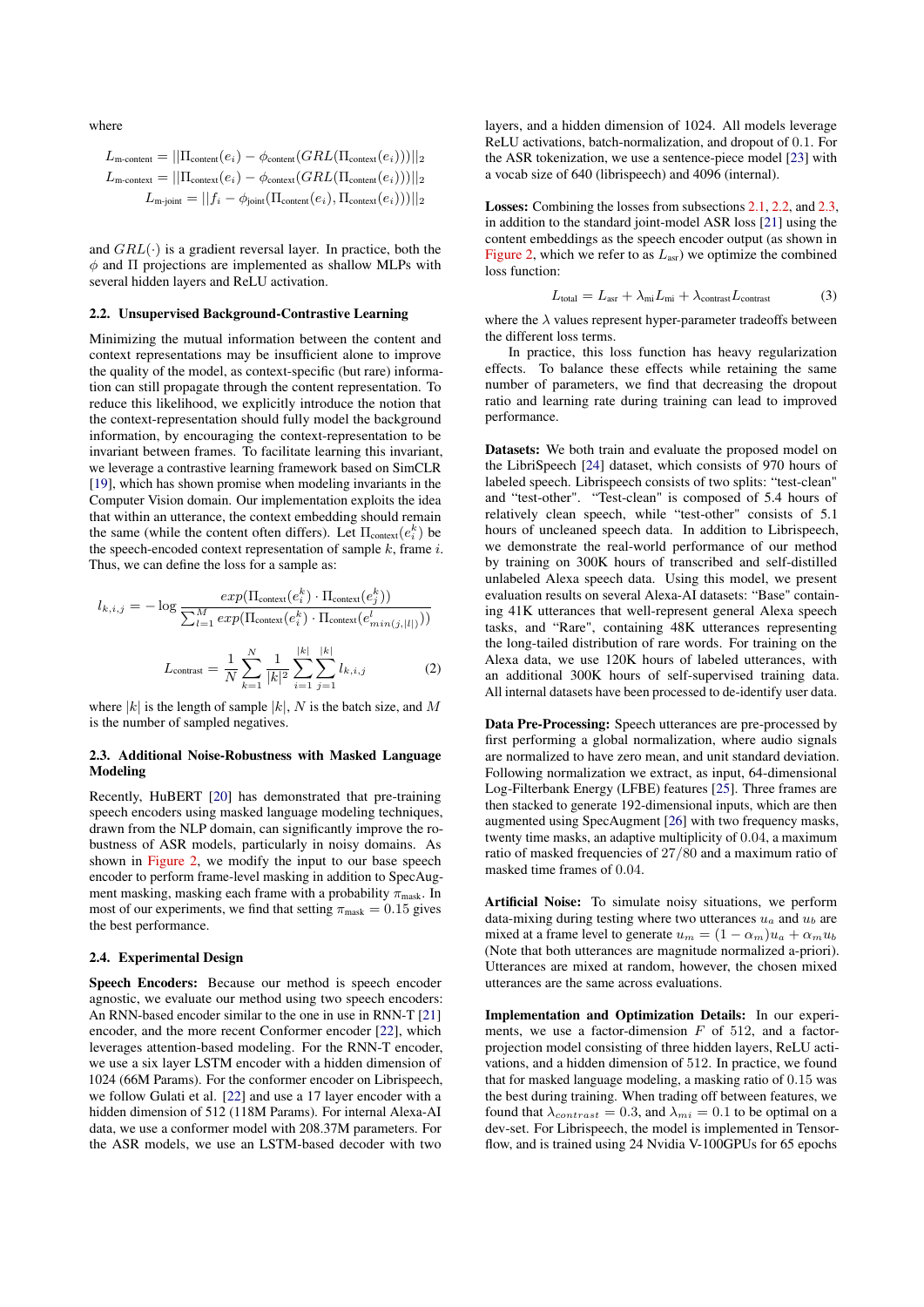where

$$
L_{\text{m-content}} = ||\Pi_{\text{content}}(e_i) - \phi_{\text{content}}(GRL(\Pi_{\text{context}}(e_i)))||_2
$$
  
\n
$$
L_{\text{m-context}} = ||\Pi_{\text{context}}(e_i) - \phi_{\text{context}}(GRL(\Pi_{\text{content}}(e_i)))||_2
$$
  
\n
$$
L_{\text{m-joint}} = ||f_i - \phi_{\text{joint}}(\Pi_{\text{content}}(e_i), \Pi_{\text{context}}(e_i)))||_2
$$

and  $GRL(\cdot)$  is a gradient reversal layer. In practice, both the  $\phi$  and  $\Pi$  projections are implemented as shallow MLPs with several hidden layers and ReLU activation.

#### <span id="page-2-0"></span>2.2. Unsupervised Background-Contrastive Learning

Minimizing the mutual information between the content and context representations may be insufficient alone to improve the quality of the model, as context-specific (but rare) information can still propagate through the content representation. To reduce this likelihood, we explicitly introduce the notion that the context-representation should fully model the background information, by encouraging the context-representation to be invariant between frames. To facilitate learning this invariant, we leverage a contrastive learning framework based on SimCLR [\[19\]](#page-5-18), which has shown promise when modeling invariants in the Computer Vision domain. Our implementation exploits the idea that within an utterance, the context embedding should remain the same (while the content often differs). Let  $\Pi_{\text{context}}(e_i^k)$  be the speech-encoded context representation of sample  $k$ , frame  $i$ . Thus, we can define the loss for a sample as:

$$
l_{k,i,j} = -\log \frac{exp(\Pi_{\text{context}}(e_i^k) \cdot \Pi_{\text{context}}(e_j^k))}{\sum_{l=1}^{M} exp(\Pi_{\text{context}}(e_i^k) \cdot \Pi_{\text{context}}(e_{min(j,|l|)}^{l}))}
$$

$$
L_{\text{contrast}} = \frac{1}{N} \sum_{k=1}^{N} \frac{1}{|k|^2} \sum_{i=1}^{|k|} \sum_{j=1}^{|k|} l_{k,i,j} \tag{2}
$$

where  $|k|$  is the length of sample  $|k|$ , N is the batch size, and M is the number of sampled negatives.

#### <span id="page-2-1"></span>2.3. Additional Noise-Robustness with Masked Language Modeling

Recently, HuBERT [\[20\]](#page-5-19) has demonstrated that pre-training speech encoders using masked language modeling techniques, drawn from the NLP domain, can significantly improve the robustness of ASR models, particularly in noisy domains. As shown in [Figure 2,](#page-1-1) we modify the input to our base speech encoder to perform frame-level masking in addition to SpecAugment masking, masking each frame with a probability  $\pi_{\text{mask}}$ . In most of our experiments, we find that setting  $\pi_{\text{mask}} = 0.15$  gives the best performance.

#### 2.4. Experimental Design

Speech Encoders: Because our method is speech encoder agnostic, we evaluate our method using two speech encoders: An RNN-based encoder similar to the one in use in RNN-T [\[21\]](#page-5-20) encoder, and the more recent Conformer encoder [\[22\]](#page-5-21), which leverages attention-based modeling. For the RNN-T encoder, we use a six layer LSTM encoder with a hidden dimension of 1024 (66M Params). For the conformer encoder on Librispeech, we follow Gulati et al. [\[22\]](#page-5-21) and use a 17 layer encoder with a hidden dimension of 512 (118M Params). For internal Alexa-AI data, we use a conformer model with 208.37M parameters. For the ASR models, we use an LSTM-based decoder with two layers, and a hidden dimension of 1024. All models leverage ReLU activations, batch-normalization, and dropout of 0.1. For the ASR tokenization, we use a sentence-piece model [\[23\]](#page-5-22) with a vocab size of 640 (librispeech) and 4096 (internal).

Losses: Combining the losses from subsections [2.1,](#page-1-2) [2.2,](#page-2-0) and [2.3,](#page-2-1) in addition to the standard joint-model ASR loss [\[21\]](#page-5-20) using the content embeddings as the speech encoder output (as shown in [Figure 2,](#page-1-1) which we refer to as  $L_{\text{asr}}$ ) we optimize the combined loss function:

$$
L_{\text{total}} = L_{\text{asr}} + \lambda_{\text{mi}} L_{\text{mi}} + \lambda_{\text{contrast}} L_{\text{contrast}} \tag{3}
$$

where the  $\lambda$  values represent hyper-parameter tradeoffs between the different loss terms.

In practice, this loss function has heavy regularization effects. To balance these effects while retaining the same number of parameters, we find that decreasing the dropout ratio and learning rate during training can lead to improved performance.

Datasets: We both train and evaluate the proposed model on the LibriSpeech [\[24\]](#page-5-23) dataset, which consists of 970 hours of labeled speech. Librispeech consists of two splits: "test-clean" and "test-other". "Test-clean" is composed of 5.4 hours of relatively clean speech, while "test-other" consists of 5.1 hours of uncleaned speech data. In addition to Librispeech, we demonstrate the real-world performance of our method by training on 300K hours of transcribed and self-distilled unlabeled Alexa speech data. Using this model, we present evaluation results on several Alexa-AI datasets: "Base" containing 41K utterances that well-represent general Alexa speech tasks, and "Rare", containing 48K utterances representing the long-tailed distribution of rare words. For training on the Alexa data, we use 120K hours of labeled utterances, with an additional 300K hours of self-supervised training data. All internal datasets have been processed to de-identify user data.

Data Pre-Processing: Speech utterances are pre-processed by first performing a global normalization, where audio signals are normalized to have zero mean, and unit standard deviation. Following normalization we extract, as input, 64-dimensional Log-Filterbank Energy (LFBE) features [\[25\]](#page-5-24). Three frames are then stacked to generate 192-dimensional inputs, which are then augmented using SpecAugment [\[26\]](#page-5-25) with two frequency masks, twenty time masks, an adaptive multiplicity of 0.04, a maximum ratio of masked frequencies of 27/80 and a maximum ratio of masked time frames of 0.04.

Artificial Noise: To simulate noisy situations, we perform data-mixing during testing where two utterances  $u_a$  and  $u_b$  are mixed at a frame level to generate  $u_m = (1 - \alpha_m)u_a + \alpha_m u_b$ (Note that both utterances are magnitude normalized a-priori). Utterances are mixed at random, however, the chosen mixed utterances are the same across evaluations.

Implementation and Optimization Details: In our experiments, we use a factor-dimension  $F$  of 512, and a factorprojection model consisting of three hidden layers, ReLU activations, and a hidden dimension of 512. In practice, we found that for masked language modeling, a masking ratio of 0.15 was the best during training. When trading off between features, we found that  $\lambda_{contrast} = 0.3$ , and  $\lambda_{mi} = 0.1$  to be optimal on a dev-set. For Librispeech, the model is implemented in Tensorflow, and is trained using 24 Nvidia V-100GPUs for 65 epochs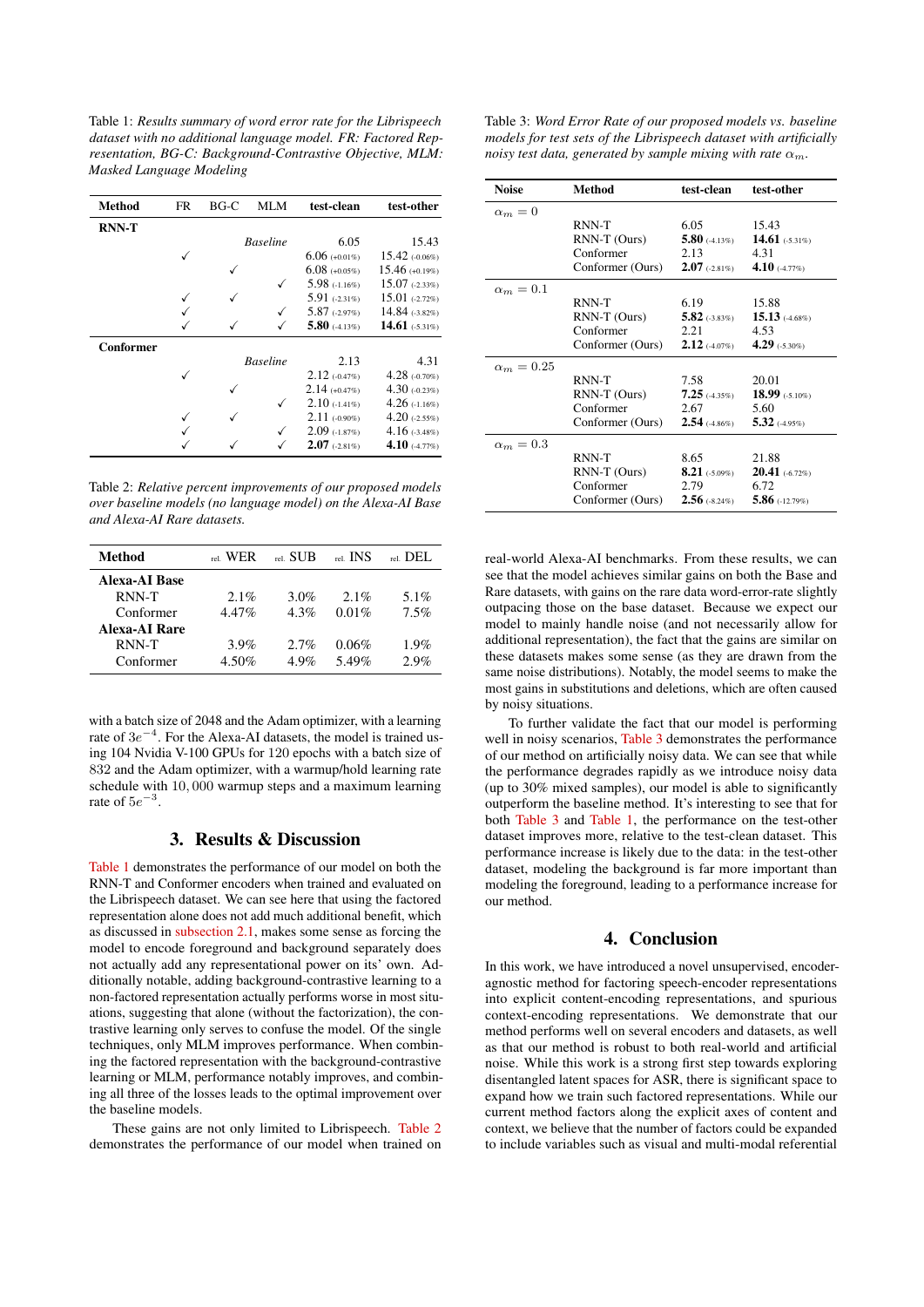<span id="page-3-0"></span>Table 1: *Results summary of word error rate for the Librispeech dataset with no additional language model. FR: Factored Representation, BG-C: Background-Contrastive Objective, MLM: Masked Language Modeling*

| <b>Method</b>    | FR | BG-C            | MLM             | test-clean        | test-other         |
|------------------|----|-----------------|-----------------|-------------------|--------------------|
| <b>RNN-T</b>     |    |                 |                 |                   |                    |
|                  |    |                 | <b>Baseline</b> | 6.05              | 15.43              |
|                  |    |                 |                 | $6.06$ (+0.01%)   | 15.42 (-0.06%)     |
|                  |    |                 |                 | $6.08$ $(+0.05%)$ | 15.46 (+0.19%)     |
|                  |    |                 |                 | $5.98$ (-1.16%)   | $15.07$ (-2.33%)   |
|                  |    |                 |                 | 5.91 $(-2.31\%)$  | $15.01$ $(-2.72%)$ |
|                  |    |                 |                 | $5.87$ (-2.97%)   | 14.84 (-3.82%)     |
|                  |    |                 |                 | $5.80$ (-4.13%)   | 14.61 $(-5.31\%)$  |
| <b>Conformer</b> |    |                 |                 |                   |                    |
|                  |    | <b>Baseline</b> |                 | 2.13              | 4.31               |
|                  |    |                 |                 | $2.12$ $(-0.47%)$ | $4.28$ (-0.70%)    |
|                  |    |                 |                 | $2.14$ $(+0.47%)$ | $4.30$ (-0.23%)    |
|                  |    |                 |                 | $2.10$ (-1.41%)   | 4.26 $(-1.16%)$    |
|                  |    |                 |                 | $2.11$ (-0.90%)   | $4.20$ $(-2.55%)$  |
|                  |    |                 |                 | $2.09$ (-1.87%)   | $4.16$ (-3.48%)    |
|                  |    |                 |                 | $2.07$ (-2.81%)   | $4.10$ (-4.77%)    |

<span id="page-3-1"></span>Table 2: *Relative percent improvements of our proposed models over baseline models (no language model) on the Alexa-AI Base and Alexa-AI Rare datasets.*

| Method               | $_{rel}$ WER | $_{rel}$ SUB | $_{rel}$ INS | $\mathbb{P}^1$ DEL. |
|----------------------|--------------|--------------|--------------|---------------------|
| <b>Alexa-AI Base</b> |              |              |              |                     |
| RNN-T                | $2.1\%$      | $3.0\%$      | $2.1\%$      | 5.1%                |
| Conformer            | 4.47%        | $4.3\%$      | $0.01\%$     | $7.5\%$             |
| <b>Alexa-AI Rare</b> |              |              |              |                     |
| RNN-T                | $3.9\%$      | $2.7\%$      | 0.06%        | $1.9\%$             |
| Conformer            | 4.50%        | $4.9\%$      | 5.49%        | 2.9%                |
|                      |              |              |              |                     |

with a batch size of 2048 and the Adam optimizer, with a learning rate of  $3e^{-4}$ . For the Alexa-AI datasets, the model is trained using 104 Nvidia V-100 GPUs for 120 epochs with a batch size of 832 and the Adam optimizer, with a warmup/hold learning rate schedule with 10, 000 warmup steps and a maximum learning rate of  $5e^{-3}$ .

# 3. Results & Discussion

[Table 1](#page-3-0) demonstrates the performance of our model on both the RNN-T and Conformer encoders when trained and evaluated on the Librispeech dataset. We can see here that using the factored representation alone does not add much additional benefit, which as discussed in [subsection 2.1,](#page-1-2) makes some sense as forcing the model to encode foreground and background separately does not actually add any representational power on its' own. Additionally notable, adding background-contrastive learning to a non-factored representation actually performs worse in most situations, suggesting that alone (without the factorization), the contrastive learning only serves to confuse the model. Of the single techniques, only MLM improves performance. When combining the factored representation with the background-contrastive learning or MLM, performance notably improves, and combining all three of the losses leads to the optimal improvement over the baseline models.

These gains are not only limited to Librispeech. [Table 2](#page-3-1) demonstrates the performance of our model when trained on

<span id="page-3-2"></span>Table 3: *Word Error Rate of our proposed models vs. baseline models for test sets of the Librispeech dataset with artificially noisy test data, generated by sample mixing with rate*  $\alpha_m$ .

| <b>Noise</b>    | Method           | test-clean        | test-other        |
|-----------------|------------------|-------------------|-------------------|
| $\alpha_m=0$    |                  |                   |                   |
|                 | RNN-T            | 6.05              | 15.43             |
|                 | RNN-T (Ours)     | $5.80\,$ (-4.13%) | 14.61 $(.5.31\%)$ |
|                 | Conformer        | 2.13              | 4.31              |
|                 | Conformer (Ours) | $2.07$ (-2.81%)   | $4.10$ (-4.77%)   |
| $\alpha_m=0.1$  |                  |                   |                   |
|                 | RNN-T            | 6.19              | 15.88             |
|                 | RNN-T (Ours)     | $5.82$ (-3.83%)   | $15.13$ (-4.68%)  |
|                 | Conformer        | 2.21              | 4.53              |
|                 | Conformer (Ours) | $2.12$ (-4.07%)   | 4.29 $(-5.30\%)$  |
| $\alpha_m=0.25$ |                  |                   |                   |
|                 | RNN-T            | 7.58              | 20.01             |
|                 | RNN-T (Ours)     | $7.25$ (-4.35%)   | 18.99 (-5.10%)    |
|                 | Conformer        | 2.67              | 5.60              |
|                 | Conformer (Ours) | $2.54$ (-4.86%)   | $5.32$ (-4.95%)   |
| $\alpha_m=0.3$  |                  |                   |                   |
|                 | RNN-T            | 8.65              | 21.88             |
|                 | RNN-T (Ours)     | $8.21$ (-5.09%)   | $20.41$ (-6.72%)  |
|                 | Conformer        | 2.79              | 6.72              |
|                 | Conformer (Ours) | $2.56$ (-8.24%)   | 5.86 $(-12.79%)$  |

real-world Alexa-AI benchmarks. From these results, we can see that the model achieves similar gains on both the Base and Rare datasets, with gains on the rare data word-error-rate slightly outpacing those on the base dataset. Because we expect our model to mainly handle noise (and not necessarily allow for additional representation), the fact that the gains are similar on these datasets makes some sense (as they are drawn from the same noise distributions). Notably, the model seems to make the most gains in substitutions and deletions, which are often caused by noisy situations.

To further validate the fact that our model is performing well in noisy scenarios, [Table 3](#page-3-2) demonstrates the performance of our method on artificially noisy data. We can see that while the performance degrades rapidly as we introduce noisy data (up to 30% mixed samples), our model is able to significantly outperform the baseline method. It's interesting to see that for both [Table 3](#page-3-2) and [Table 1,](#page-3-0) the performance on the test-other dataset improves more, relative to the test-clean dataset. This performance increase is likely due to the data: in the test-other dataset, modeling the background is far more important than modeling the foreground, leading to a performance increase for our method.

## 4. Conclusion

In this work, we have introduced a novel unsupervised, encoderagnostic method for factoring speech-encoder representations into explicit content-encoding representations, and spurious context-encoding representations. We demonstrate that our method performs well on several encoders and datasets, as well as that our method is robust to both real-world and artificial noise. While this work is a strong first step towards exploring disentangled latent spaces for ASR, there is significant space to expand how we train such factored representations. While our current method factors along the explicit axes of content and context, we believe that the number of factors could be expanded to include variables such as visual and multi-modal referential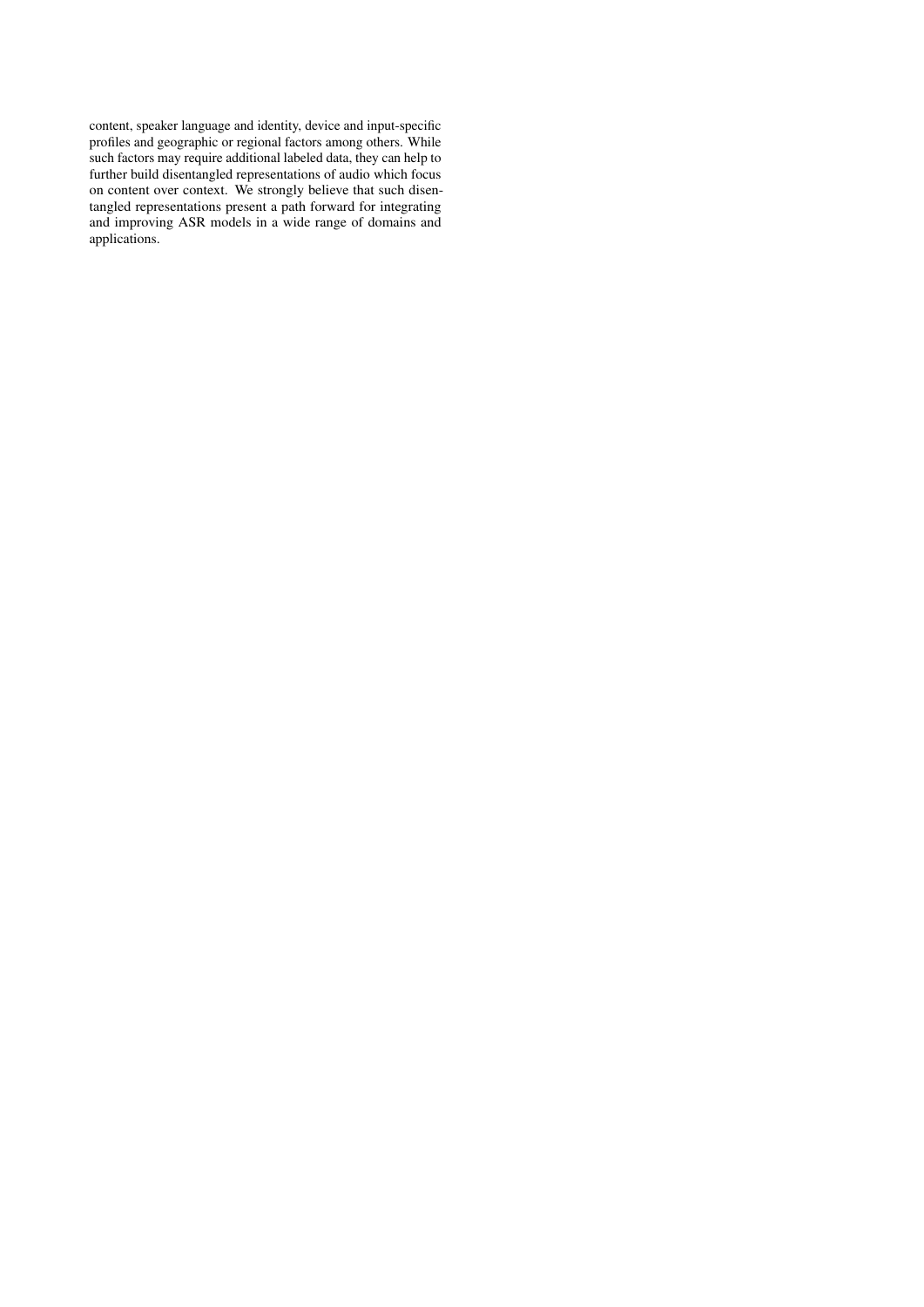content, speaker language and identity, device and input-specific profiles and geographic or regional factors among others. While such factors may require additional labeled data, they can help to further build disentangled representations of audio which focus on content over context. We strongly believe that such disentangled representations present a path forward for integrating and improving ASR models in a wide range of domains and applications.